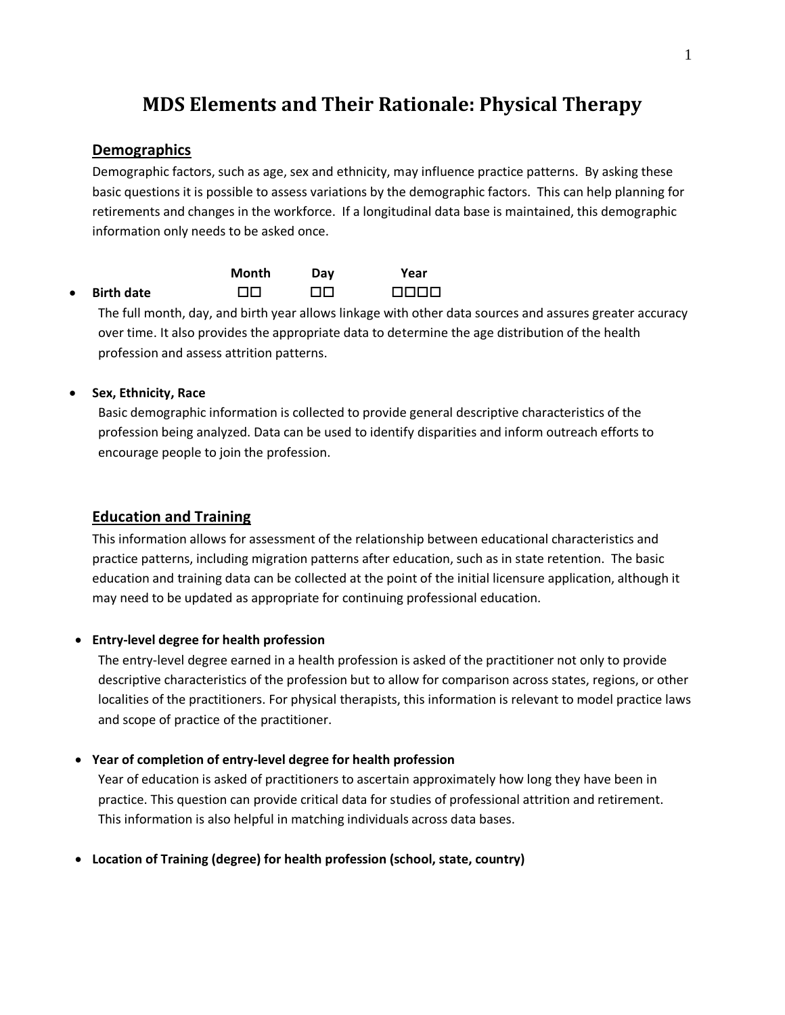# **MDS Elements and Their Rationale: Physical Therapy**

## **Demographics**

Demographic factors, such as age, sex and ethnicity, may influence practice patterns. By asking these basic questions it is possible to assess variations by the demographic factors. This can help planning for retirements and changes in the workforce. If a longitudinal data base is maintained, this demographic information only needs to be asked once.

|           |                   | Month | Day | Year |
|-----------|-------------------|-------|-----|------|
| $\bullet$ | <b>Birth date</b> | пп    | ПO  | 0000 |

The full month, day, and birth year allows linkage with other data sources and assures greater accuracy over time. It also provides the appropriate data to determine the age distribution of the health profession and assess attrition patterns.

# · **Sex, Ethnicity, Race**

Basic demographic information is collected to provide general descriptive characteristics of the profession being analyzed. Data can be used to identify disparities and inform outreach efforts to encourage people to join the profession.

# **Education and Training**

This information allows for assessment of the relationship between educational characteristics and practice patterns, including migration patterns after education, such as in state retention. The basic education and training data can be collected at the point of the initial licensure application, although it may need to be updated as appropriate for continuing professional education.

### · **Entry-level degree for health profession**

The entry-level degree earned in a health profession is asked of the practitioner not only to provide descriptive characteristics of the profession but to allow for comparison across states, regions, or other localities of the practitioners. For physical therapists, this information is relevant to model practice laws and scope of practice of the practitioner.

### · **Year of completion of entry-level degree for health profession**

Year of education is asked of practitioners to ascertain approximately how long they have been in practice. This question can provide critical data for studies of professional attrition and retirement. This information is also helpful in matching individuals across data bases.

· **Location of Training (degree) for health profession (school, state, country)**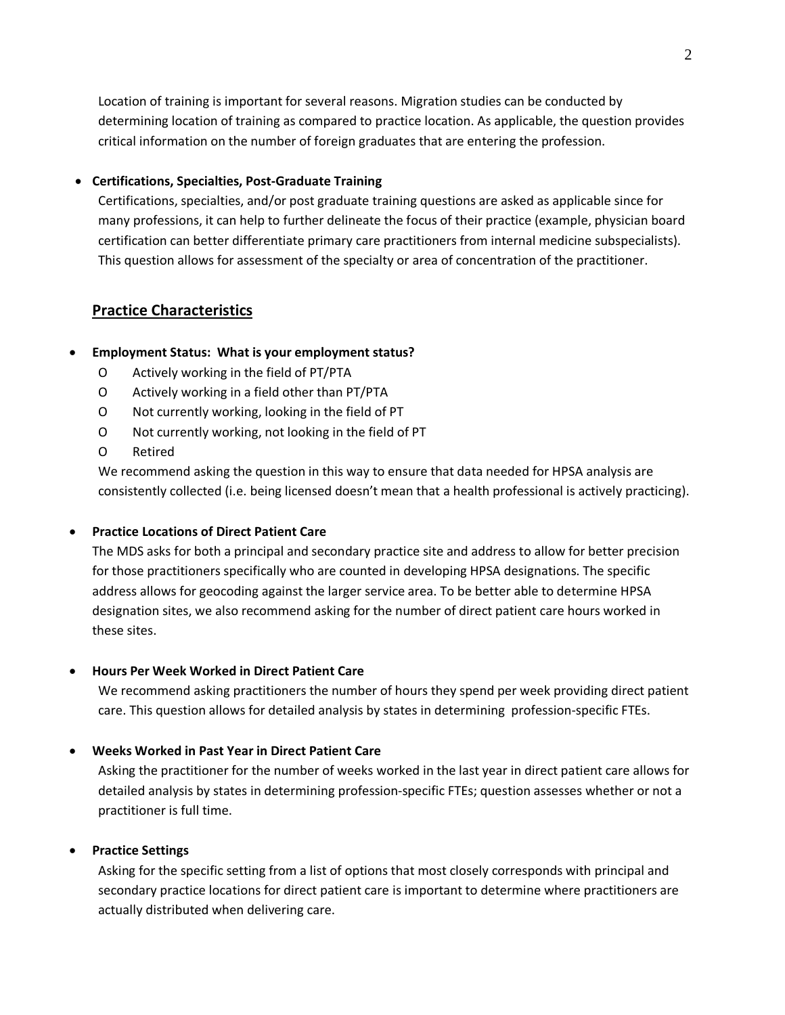Location of training is important for several reasons. Migration studies can be conducted by determining location of training as compared to practice location. As applicable, the question provides critical information on the number of foreign graduates that are entering the profession.

#### · **Certifications, Specialties, Post-Graduate Training**

Certifications, specialties, and/or post graduate training questions are asked as applicable since for many professions, it can help to further delineate the focus of their practice (example, physician board certification can better differentiate primary care practitioners from internal medicine subspecialists). This question allows for assessment of the specialty or area of concentration of the practitioner.

# **Practice Characteristics**

### · **Employment Status: What is your employment status?**

- O Actively working in the field of PT/PTA
- O Actively working in a field other than PT/PTA
- O Not currently working, looking in the field of PT
- O Not currently working, not looking in the field of PT
- O Retired

We recommend asking the question in this way to ensure that data needed for HPSA analysis are consistently collected (i.e. being licensed doesn't mean that a health professional is actively practicing).

### · **Practice Locations of Direct Patient Care**

The MDS asks for both a principal and secondary practice site and address to allow for better precision for those practitioners specifically who are counted in developing HPSA designations. The specific address allows for geocoding against the larger service area. To be better able to determine HPSA designation sites, we also recommend asking for the number of direct patient care hours worked in these sites.

### · **Hours Per Week Worked in Direct Patient Care**

We recommend asking practitioners the number of hours they spend per week providing direct patient care. This question allows for detailed analysis by states in determining profession-specific FTEs.

#### · **Weeks Worked in Past Year in Direct Patient Care**

Asking the practitioner for the number of weeks worked in the last year in direct patient care allows for detailed analysis by states in determining profession-specific FTEs; question assesses whether or not a practitioner is full time.

#### · **Practice Settings**

Asking for the specific setting from a list of options that most closely corresponds with principal and secondary practice locations for direct patient care is important to determine where practitioners are actually distributed when delivering care.